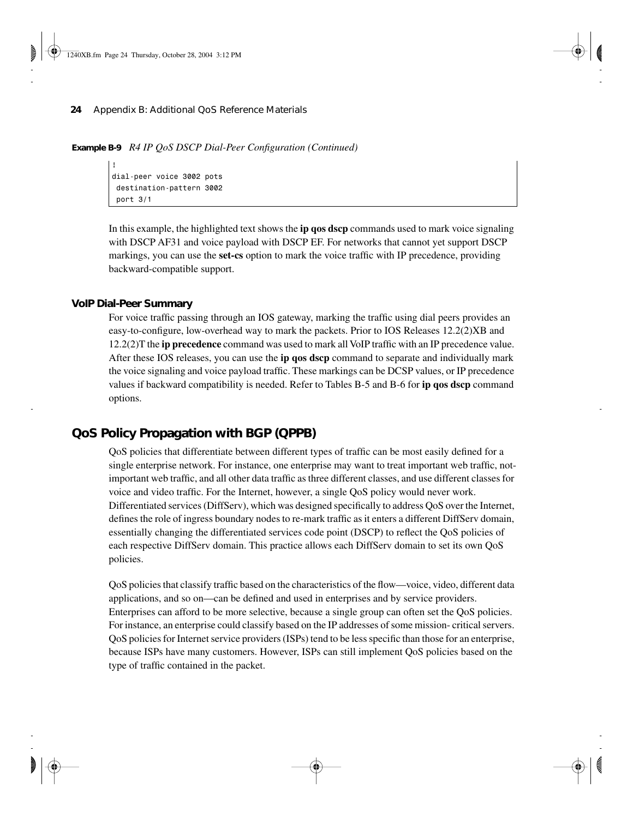# **QoS Policy Propagation with BGP (QPPB)**

QoS policies that differentiate between different types of traffic can be most easily defined for a single enterprise network. For instance, one enterprise may want to treat important web traffic, notimportant web traffic, and all other data traffic as three different classes, and use different classes for voice and video traffic. For the Internet, however, a single QoS policy would never work. Differentiated services (DiffServ), which was designed specifically to address QoS over the Internet, defines the role of ingress boundary nodes to re-mark traffic as it enters a different DiffServ domain, essentially changing the differentiated services code point (DSCP) to reflect the QoS policies of each respective DiffServ domain. This practice allows each DiffServ domain to set its own QoS policies.

QoS policies that classify traffic based on the characteristics of the flow—voice, video, different data applications, and so on—can be defined and used in enterprises and by service providers. Enterprises can afford to be more selective, because a single group can often set the QoS policies. For instance, an enterprise could classify based on the IP addresses of some mission- critical servers. QoS policies for Internet service providers (ISPs) tend to be less specific than those for an enterprise, because ISPs have many customers. However, ISPs can still implement QoS policies based on the type of traffic contained in the packet.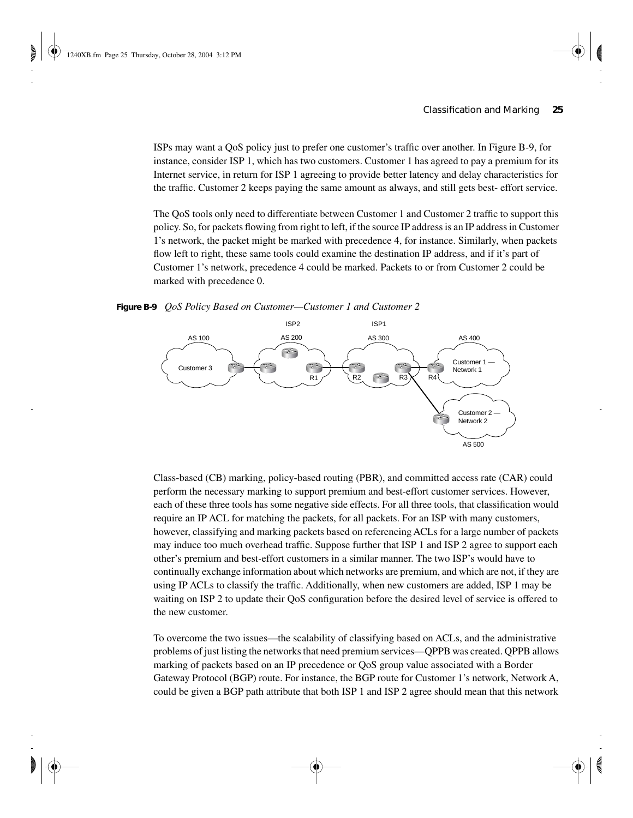ISPs may want a QoS policy just to prefer one customer's traffic over another. In Figure B-9, for instance, consider ISP 1, which has two customers. Customer 1 has agreed to pay a premium for its Internet service, in return for ISP 1 agreeing to provide better latency and delay characteristics for the traffic. Customer 2 keeps paying the same amount as always, and still gets best- effort service.

The QoS tools only need to differentiate between Customer 1 and Customer 2 traffic to support this policy. So, for packets flowing from right to left, if the source IP address is an IP address in Customer 1's network, the packet might be marked with precedence 4, for instance. Similarly, when packets flow left to right, these same tools could examine the destination IP address, and if it's part of Customer 1's network, precedence 4 could be marked. Packets to or from Customer 2 could be marked with precedence 0.

#### **Figure B-9** *QoS Policy Based on Customer—Customer 1 and Customer 2*



Class-based (CB) marking, policy-based routing (PBR), and committed access rate (CAR) could perform the necessary marking to support premium and best-effort customer services. However, each of these three tools has some negative side effects. For all three tools, that classification would require an IP ACL for matching the packets, for all packets. For an ISP with many customers, however, classifying and marking packets based on referencing ACLs for a large number of packets may induce too much overhead traffic. Suppose further that ISP 1 and ISP 2 agree to support each other's premium and best-effort customers in a similar manner. The two ISP's would have to continually exchange information about which networks are premium, and which are not, if they are using IP ACLs to classify the traffic. Additionally, when new customers are added, ISP 1 may be waiting on ISP 2 to update their QoS configuration before the desired level of service is offered to the new customer.

To overcome the two issues—the scalability of classifying based on ACLs, and the administrative problems of just listing the networks that need premium services—QPPB was created. QPPB allows marking of packets based on an IP precedence or QoS group value associated with a Border Gateway Protocol (BGP) route. For instance, the BGP route for Customer 1's network, Network A, could be given a BGP path attribute that both ISP 1 and ISP 2 agree should mean that this network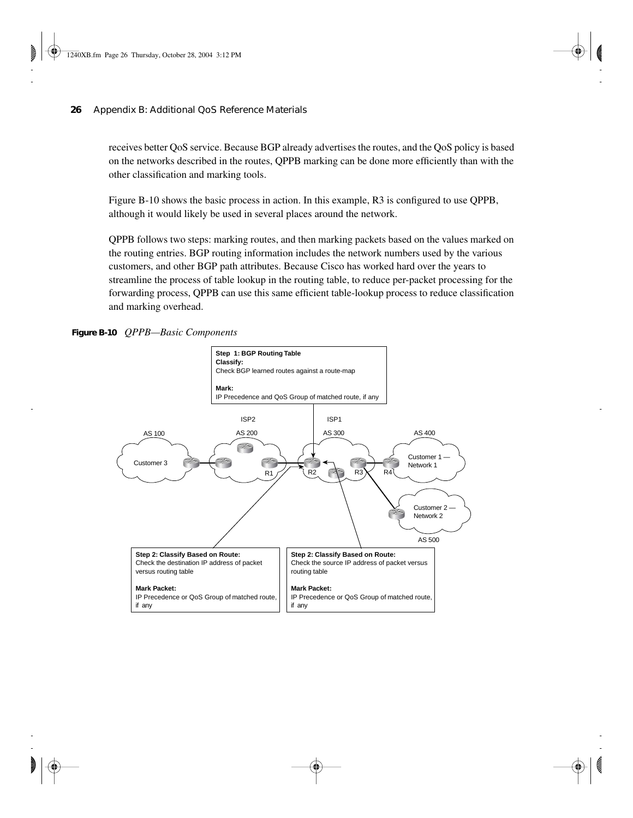receives better QoS service. Because BGP already advertises the routes, and the QoS policy is based on the networks described in the routes, QPPB marking can be done more efficiently than with the other classification and marking tools.

Figure B-10 shows the basic process in action. In this example, R3 is configured to use QPPB, although it would likely be used in several places around the network.

QPPB follows two steps: marking routes, and then marking packets based on the values marked on the routing entries. BGP routing information includes the network numbers used by the various customers, and other BGP path attributes. Because Cisco has worked hard over the years to streamline the process of table lookup in the routing table, to reduce per-packet processing for the forwarding process, QPPB can use this same efficient table-lookup process to reduce classification and marking overhead.



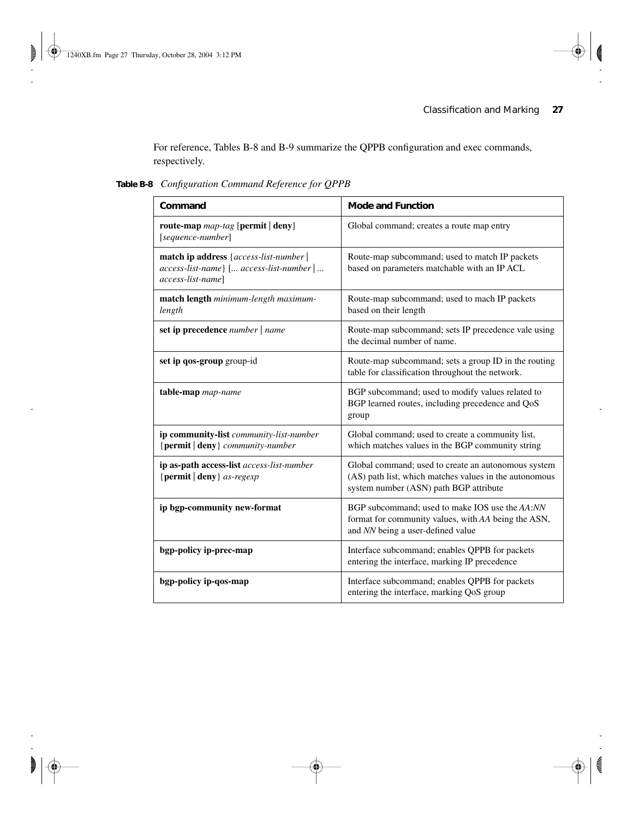For reference, Tables B-8 and B-9 summarize the QPPB configuration and exec commands, respectively.

**Table B-8** *Configuration Command Reference for QPPB*

| Command                                                                                                | <b>Mode and Function</b>                                                                                                                                |
|--------------------------------------------------------------------------------------------------------|---------------------------------------------------------------------------------------------------------------------------------------------------------|
| route-map map-tag [permit   deny]<br>[sequence-number]                                                 | Global command; creates a route map entry                                                                                                               |
| match ip address {access-list-number  <br>access-list-name} [ access-list-number]<br>access-list-name] | Route-map subcommand; used to match IP packets<br>based on parameters matchable with an IP ACL                                                          |
| match length minimum-length maximum-<br>length                                                         | Route-map subcommand; used to mach IP packets<br>based on their length                                                                                  |
| set ip precedence <i>number</i>   <i>name</i>                                                          | Route-map subcommand; sets IP precedence vale using<br>the decimal number of name.                                                                      |
| set ip qos-group group-id                                                                              | Route-map subcommand; sets a group ID in the routing<br>table for classification throughout the network.                                                |
| table-map map-name                                                                                     | BGP subcommand; used to modify values related to<br>BGP learned routes, including precedence and QoS<br>group                                           |
| ip community-list community-list-number<br>{permit   deny } community-number                           | Global command; used to create a community list,<br>which matches values in the BGP community string                                                    |
| ip as-path access-list access-list-number<br>{permit $ $ deny } as-regexp                              | Global command; used to create an autonomous system<br>(AS) path list, which matches values in the autonomous<br>system number (ASN) path BGP attribute |
| ip bgp-community new-format                                                                            | BGP subcommand; used to make IOS use the AA:NN<br>format for community values, with AA being the ASN,<br>and NN being a user-defined value              |
| bgp-policy ip-prec-map                                                                                 | Interface subcommand; enables QPPB for packets<br>entering the interface, marking IP precedence                                                         |
| bgp-policy ip-qos-map                                                                                  | Interface subcommand; enables QPPB for packets<br>entering the interface, marking QoS group                                                             |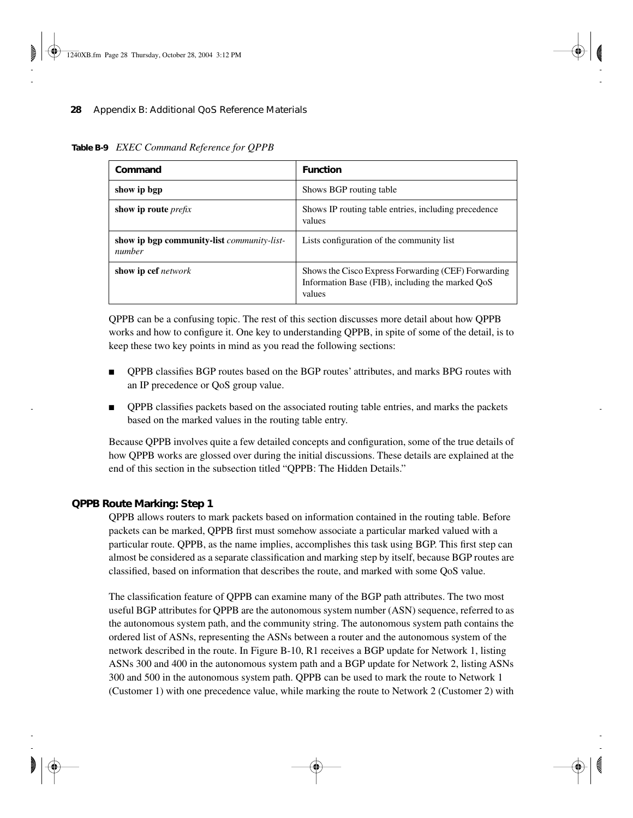**Table B-9** *EXEC Command Reference for QPPB*

| Command                                                      | <b>Function</b>                                                                                                   |
|--------------------------------------------------------------|-------------------------------------------------------------------------------------------------------------------|
| show ip bgp                                                  | Shows BGP routing table                                                                                           |
| show ip route <i>prefix</i>                                  | Shows IP routing table entries, including precedence<br>values                                                    |
| show ip bgp community-list <i>community-list</i> -<br>number | Lists configuration of the community list                                                                         |
| show ip cef network                                          | Shows the Cisco Express Forwarding (CEF) Forwarding<br>Information Base (FIB), including the marked OoS<br>values |

QPPB can be a confusing topic. The rest of this section discusses more detail about how QPPB works and how to configure it. One key to understanding QPPB, in spite of some of the detail, is to keep these two key points in mind as you read the following sections:

- QPPB classifies BGP routes based on the BGP routes' attributes, and marks BPG routes with an IP precedence or QoS group value.
- QPPB classifies packets based on the associated routing table entries, and marks the packets based on the marked values in the routing table entry.

Because QPPB involves quite a few detailed concepts and configuration, some of the true details of how QPPB works are glossed over during the initial discussions. These details are explained at the end of this section in the subsection titled "QPPB: The Hidden Details."

## **QPPB Route Marking: Step 1**

QPPB allows routers to mark packets based on information contained in the routing table. Before packets can be marked, QPPB first must somehow associate a particular marked valued with a particular route. QPPB, as the name implies, accomplishes this task using BGP. This first step can almost be considered as a separate classification and marking step by itself, because BGP routes are classified, based on information that describes the route, and marked with some QoS value.

The classification feature of QPPB can examine many of the BGP path attributes. The two most useful BGP attributes for QPPB are the autonomous system number (ASN) sequence, referred to as the autonomous system path, and the community string. The autonomous system path contains the ordered list of ASNs, representing the ASNs between a router and the autonomous system of the network described in the route. In Figure B-10, R1 receives a BGP update for Network 1, listing ASNs 300 and 400 in the autonomous system path and a BGP update for Network 2, listing ASNs 300 and 500 in the autonomous system path. QPPB can be used to mark the route to Network 1 (Customer 1) with one precedence value, while marking the route to Network 2 (Customer 2) with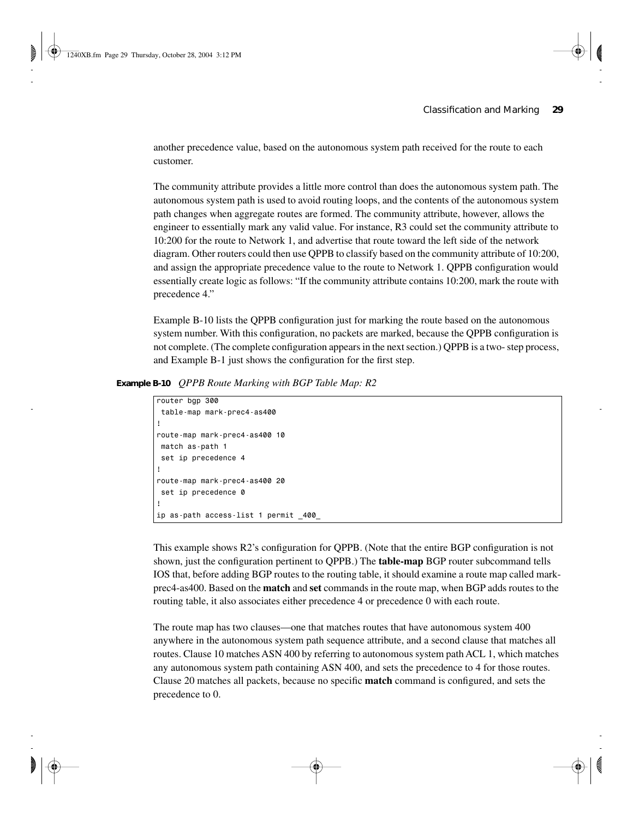another precedence value, based on the autonomous system path received for the route to each customer.

The community attribute provides a little more control than does the autonomous system path. The autonomous system path is used to avoid routing loops, and the contents of the autonomous system path changes when aggregate routes are formed. The community attribute, however, allows the engineer to essentially mark any valid value. For instance, R3 could set the community attribute to 10:200 for the route to Network 1, and advertise that route toward the left side of the network diagram. Other routers could then use QPPB to classify based on the community attribute of 10:200, and assign the appropriate precedence value to the route to Network 1. QPPB configuration would essentially create logic as follows: "If the community attribute contains 10:200, mark the route with precedence 4."

Example B-10 lists the QPPB configuration just for marking the route based on the autonomous system number. With this configuration, no packets are marked, because the QPPB configuration is not complete. (The complete configuration appears in the next section.) QPPB is a two- step process, and Example B-1 just shows the configuration for the first step.

**Example B-10** *QPPB Route Marking with BGP Table Map: R2*

```
router bgp 300
 table-map mark-prec4-as400
!
route-map mark-prec4-as400 10
 match as-path 1
 set ip precedence 4
!
route-map mark-prec4-as400 20
 set ip precedence 0
!
ip as-path access-list 1 permit 400
```
This example shows R2's configuration for QPPB. (Note that the entire BGP configuration is not shown, just the configuration pertinent to QPPB.) The **table-map** BGP router subcommand tells IOS that, before adding BGP routes to the routing table, it should examine a route map called markprec4-as400. Based on the **match** and **set** commands in the route map, when BGP adds routes to the routing table, it also associates either precedence 4 or precedence 0 with each route.

The route map has two clauses—one that matches routes that have autonomous system 400 anywhere in the autonomous system path sequence attribute, and a second clause that matches all routes. Clause 10 matches ASN 400 by referring to autonomous system path ACL 1, which matches any autonomous system path containing ASN 400, and sets the precedence to 4 for those routes. Clause 20 matches all packets, because no specific **match** command is configured, and sets the precedence to 0.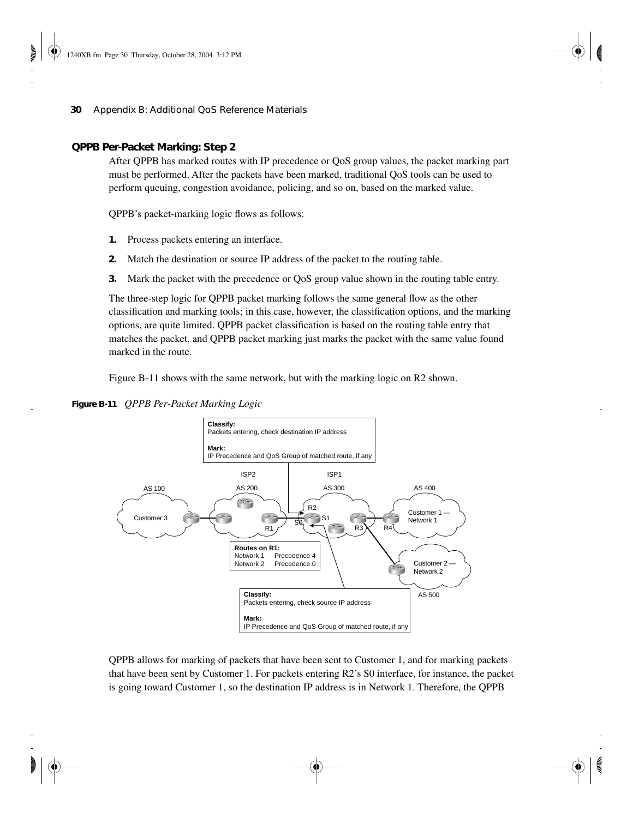## **QPPB Per-Packet Marking: Step 2**

After QPPB has marked routes with IP precedence or QoS group values, the packet marking part must be performed. After the packets have been marked, traditional QoS tools can be used to perform queuing, congestion avoidance, policing, and so on, based on the marked value.

QPPB's packet-marking logic flows as follows:

- **1.** Process packets entering an interface.
- **2.** Match the destination or source IP address of the packet to the routing table.
- **3.** Mark the packet with the precedence or QoS group value shown in the routing table entry.

The three-step logic for QPPB packet marking follows the same general flow as the other classification and marking tools; in this case, however, the classification options, and the marking options, are quite limited. QPPB packet classification is based on the routing table entry that matches the packet, and QPPB packet marking just marks the packet with the same value found marked in the route.

Figure B-11 shows with the same network, but with the marking logic on R2 shown.





QPPB allows for marking of packets that have been sent to Customer 1, and for marking packets that have been sent by Customer 1. For packets entering R2's S0 interface, for instance, the packet is going toward Customer 1, so the destination IP address is in Network 1. Therefore, the QPPB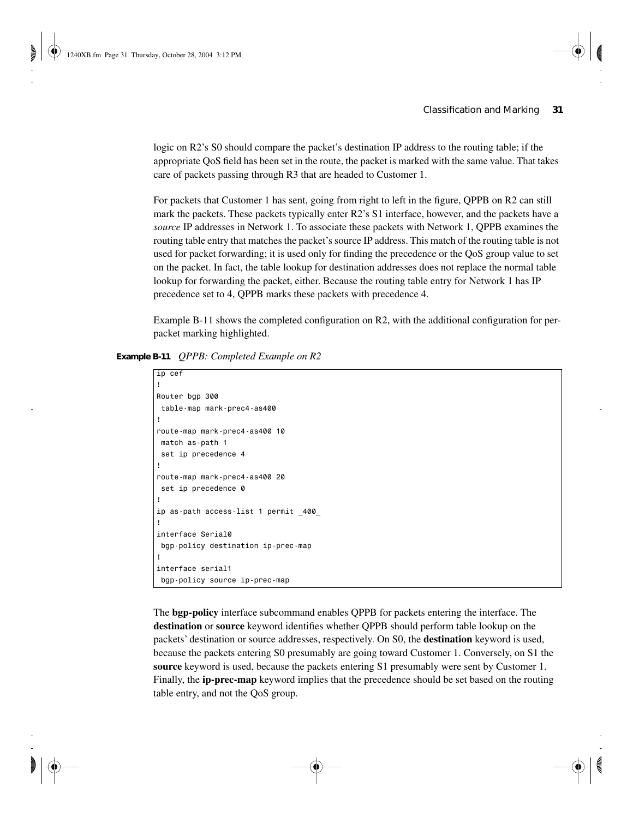logic on R2's S0 should compare the packet's destination IP address to the routing table; if the appropriate QoS field has been set in the route, the packet is marked with the same value. That takes care of packets passing through R3 that are headed to Customer 1.

For packets that Customer 1 has sent, going from right to left in the figure, QPPB on R2 can still mark the packets. These packets typically enter R2's S1 interface, however, and the packets have a *source* IP addresses in Network 1. To associate these packets with Network 1, QPPB examines the routing table entry that matches the packet's source IP address. This match of the routing table is not used for packet forwarding; it is used only for finding the precedence or the QoS group value to set on the packet. In fact, the table lookup for destination addresses does not replace the normal table lookup for forwarding the packet, either. Because the routing table entry for Network 1 has IP precedence set to 4, QPPB marks these packets with precedence 4.

Example B-11 shows the completed configuration on R2, with the additional configuration for perpacket marking highlighted.

**Example B-11** *QPPB: Completed Example on R2*

```
ip cef
!
Router bgp 300
 table-map mark-prec4-as400
!
route-map mark-prec4-as400 10
 match as-path 1
  set ip precedence 4
!
route-map mark-prec4-as400 20
  set ip precedence 0
!
ip as-path access-list 1 permit _400_ 
!
interface Serial0
  bgp-policy destination ip-prec-map
!
interface serial1
  bgp-policy source ip-prec-map
```
The **bgp-policy** interface subcommand enables QPPB for packets entering the interface. The **destination** or **source** keyword identifies whether QPPB should perform table lookup on the packets' destination or source addresses, respectively. On S0, the **destination** keyword is used, because the packets entering S0 presumably are going toward Customer 1. Conversely, on S1 the **source** keyword is used, because the packets entering S1 presumably were sent by Customer 1. Finally, the **ip-prec-map** keyword implies that the precedence should be set based on the routing table entry, and not the QoS group.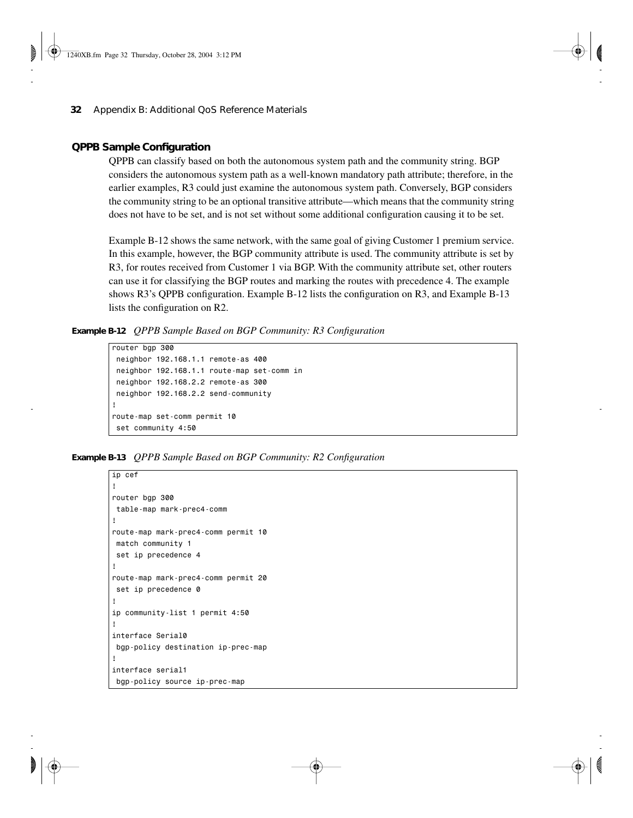#### **QPPB Sample Configuration**

QPPB can classify based on both the autonomous system path and the community string. BGP considers the autonomous system path as a well-known mandatory path attribute; therefore, in the earlier examples, R3 could just examine the autonomous system path. Conversely, BGP considers the community string to be an optional transitive attribute—which means that the community string does not have to be set, and is not set without some additional configuration causing it to be set.

Example B-12 shows the same network, with the same goal of giving Customer 1 premium service. In this example, however, the BGP community attribute is used. The community attribute is set by R3, for routes received from Customer 1 via BGP. With the community attribute set, other routers can use it for classifying the BGP routes and marking the routes with precedence 4. The example shows R3's QPPB configuration. Example B-12 lists the configuration on R3, and Example B-13 lists the configuration on R2.

**Example B-12** *QPPB Sample Based on BGP Community: R3 Configuration*

```
router bgp 300
 neighbor 192.168.1.1 remote-as 400
 neighbor 192.168.1.1 route-map set-comm in
 neighbor 192.168.2.2 remote-as 300
 neighbor 192.168.2.2 send-community
!
route-map set-comm permit 10
 set community 4:50
```
**Example B-13** *QPPB Sample Based on BGP Community: R2 Configuration*

```
ip cef
!
router bgp 300
 table-map mark-prec4-comm
!
route-map mark-prec4-comm permit 10
 match community 1
 set ip precedence 4
!
route-map mark-prec4-comm permit 20
 set ip precedence 0
!
ip community-list 1 permit 4:50
!
interface Serial0
 bgp-policy destination ip-prec-map
!
interface serial1
 bgp-policy source ip-prec-map
```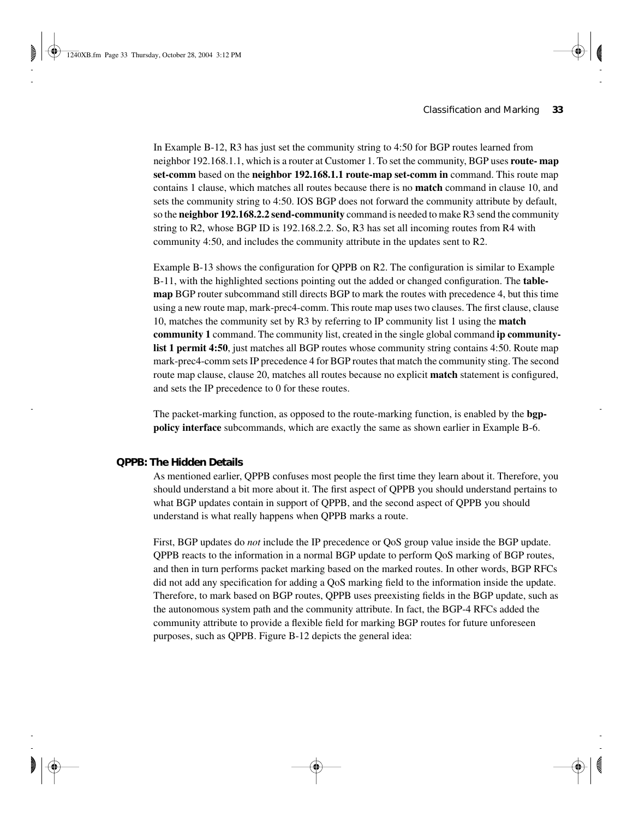In Example B-12, R3 has just set the community string to 4:50 for BGP routes learned from neighbor 192.168.1.1, which is a router at Customer 1. To set the community, BGP uses **route- map set-comm** based on the **neighbor 192.168.1.1 route-map set-comm in** command. This route map contains 1 clause, which matches all routes because there is no **match** command in clause 10, and sets the community string to 4:50. IOS BGP does not forward the community attribute by default, so the **neighbor 192.168.2.2 send-community** command is needed to make R3 send the community string to R2, whose BGP ID is 192.168.2.2. So, R3 has set all incoming routes from R4 with community 4:50, and includes the community attribute in the updates sent to R2.

Example B-13 shows the configuration for QPPB on R2. The configuration is similar to Example B-11, with the highlighted sections pointing out the added or changed configuration. The **tablemap** BGP router subcommand still directs BGP to mark the routes with precedence 4, but this time using a new route map, mark-prec4-comm. This route map uses two clauses. The first clause, clause 10, matches the community set by R3 by referring to IP community list 1 using the **match community 1** command. The community list, created in the single global command **ip communitylist 1 permit 4:50**, just matches all BGP routes whose community string contains 4:50. Route map mark-prec4-comm sets IP precedence 4 for BGP routes that match the community sting. The second route map clause, clause 20, matches all routes because no explicit **match** statement is configured, and sets the IP precedence to 0 for these routes.

The packet-marking function, as opposed to the route-marking function, is enabled by the **bgppolicy interface** subcommands, which are exactly the same as shown earlier in Example B-6.

#### **QPPB: The Hidden Details**

As mentioned earlier, QPPB confuses most people the first time they learn about it. Therefore, you should understand a bit more about it. The first aspect of QPPB you should understand pertains to what BGP updates contain in support of QPPB, and the second aspect of QPPB you should understand is what really happens when QPPB marks a route.

First, BGP updates do *not* include the IP precedence or QoS group value inside the BGP update. QPPB reacts to the information in a normal BGP update to perform QoS marking of BGP routes, and then in turn performs packet marking based on the marked routes. In other words, BGP RFCs did not add any specification for adding a QoS marking field to the information inside the update. Therefore, to mark based on BGP routes, QPPB uses preexisting fields in the BGP update, such as the autonomous system path and the community attribute. In fact, the BGP-4 RFCs added the community attribute to provide a flexible field for marking BGP routes for future unforeseen purposes, such as QPPB. Figure B-12 depicts the general idea: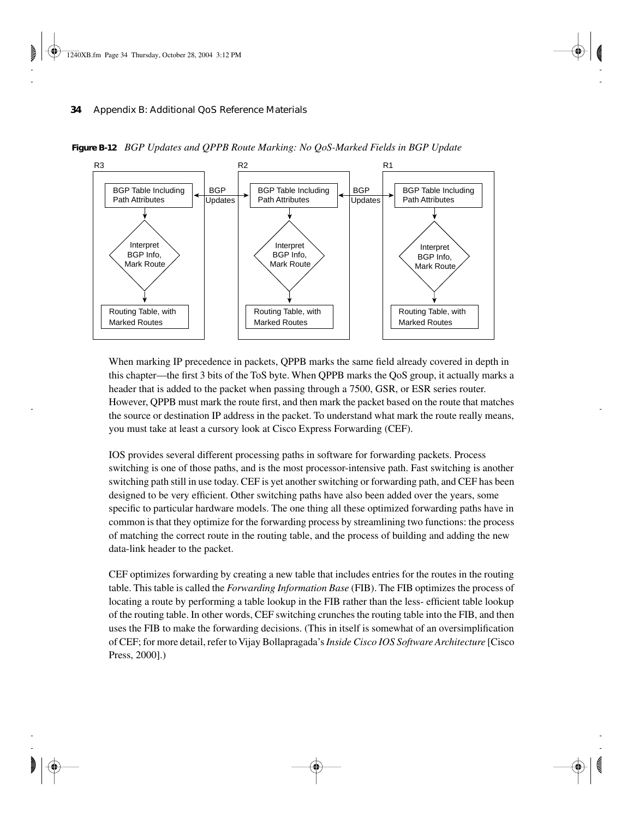



When marking IP precedence in packets, QPPB marks the same field already covered in depth in this chapter—the first 3 bits of the ToS byte. When QPPB marks the QoS group, it actually marks a header that is added to the packet when passing through a 7500, GSR, or ESR series router. However, QPPB must mark the route first, and then mark the packet based on the route that matches the source or destination IP address in the packet. To understand what mark the route really means, you must take at least a cursory look at Cisco Express Forwarding (CEF).

IOS provides several different processing paths in software for forwarding packets. Process switching is one of those paths, and is the most processor-intensive path. Fast switching is another switching path still in use today. CEF is yet another switching or forwarding path, and CEF has been designed to be very efficient. Other switching paths have also been added over the years, some specific to particular hardware models. The one thing all these optimized forwarding paths have in common is that they optimize for the forwarding process by streamlining two functions: the process of matching the correct route in the routing table, and the process of building and adding the new data-link header to the packet.

CEF optimizes forwarding by creating a new table that includes entries for the routes in the routing table. This table is called the *Forwarding Information Base* (FIB). The FIB optimizes the process of locating a route by performing a table lookup in the FIB rather than the less- efficient table lookup of the routing table. In other words, CEF switching crunches the routing table into the FIB, and then uses the FIB to make the forwarding decisions. (This in itself is somewhat of an oversimplification of CEF; for more detail, refer to Vijay Bollapragada's *Inside Cisco IOS Software Architecture* [Cisco Press, 2000].)